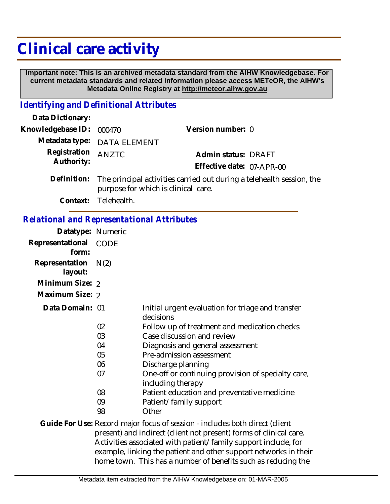## **Clinical care activity**

 **Important note: This is an archived metadata standard from the AIHW Knowledgebase. For current metadata standards and related information please access METeOR, the AIHW's Metadata Online Registry at http://meteor.aihw.gov.au**

## *Identifying and Definitional Attributes*

| Data Dictionary:                 |                                                                              |                           |  |
|----------------------------------|------------------------------------------------------------------------------|---------------------------|--|
| Knowledgebase ID: 000470         |                                                                              | Version number: 0         |  |
|                                  | Metadata type: DATA ELEMENT                                                  |                           |  |
| Registration ANZTC<br>Authority: |                                                                              | Admin status: DRAFT       |  |
|                                  |                                                                              | Effective date: 07-APR-00 |  |
|                                  | Definition: The principal activities carried out during a telehealth session |                           |  |

The principal activities carried out during a telehealth session, the purpose for which is clinical care.

**Context:** Telehealth.

## *Relational and Representational Attributes*

| Datatype: Numeric         |             |                                                                                                                                                                                                                                                                                         |
|---------------------------|-------------|-----------------------------------------------------------------------------------------------------------------------------------------------------------------------------------------------------------------------------------------------------------------------------------------|
| Representational<br>form: | <b>CODE</b> |                                                                                                                                                                                                                                                                                         |
| Representation<br>layout: | N(2)        |                                                                                                                                                                                                                                                                                         |
| Minimum Size: 2           |             |                                                                                                                                                                                                                                                                                         |
| Maximum Size: 2           |             |                                                                                                                                                                                                                                                                                         |
| Data Domain: 01           |             | Initial urgent evaluation for triage and transfer<br>decisions                                                                                                                                                                                                                          |
|                           | 02          | Follow up of treatment and medication checks                                                                                                                                                                                                                                            |
|                           | 03          | Case discussion and review                                                                                                                                                                                                                                                              |
|                           | 04          | Diagnosis and general assessment                                                                                                                                                                                                                                                        |
|                           | 05          | Pre-admission assessment                                                                                                                                                                                                                                                                |
|                           | 06          | Discharge planning                                                                                                                                                                                                                                                                      |
|                           | 07          | One-off or continuing provision of specialty care,<br>including therapy                                                                                                                                                                                                                 |
|                           | 08          | Patient education and preventative medicine                                                                                                                                                                                                                                             |
|                           | 09          | Patient/family support                                                                                                                                                                                                                                                                  |
|                           | 98          | Other                                                                                                                                                                                                                                                                                   |
|                           |             | Guide For Use: Record major focus of session - includes both direct (client<br>present) and indirect (client not present) forms of clinical care.<br>Activities associated with patient/family support include, for<br>example, linking the patient and other support networks in their |
|                           |             | home town. This has a number of benefits such as reducing the                                                                                                                                                                                                                           |